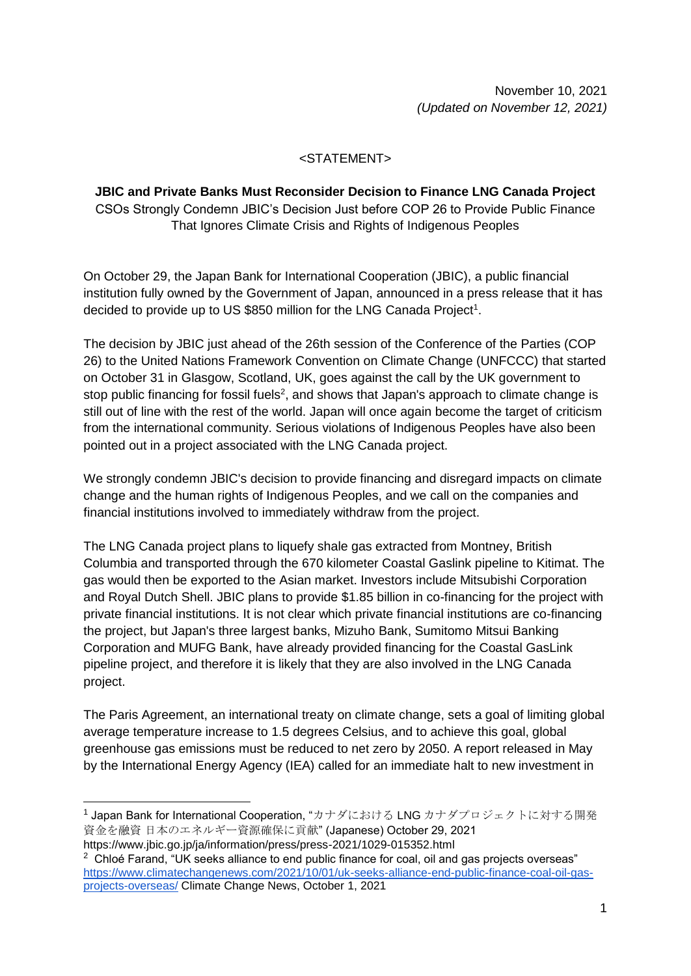November 10, 2021 *(Updated on November 12, 2021)*

## <STATEMENT>

**JBIC and Private Banks Must Reconsider Decision to Finance LNG Canada Project** CSOs Strongly Condemn JBIC's Decision Just before COP 26 to Provide Public Finance That Ignores Climate Crisis and Rights of Indigenous Peoples

On October 29, the Japan Bank for International Cooperation (JBIC), a public financial institution fully owned by the Government of Japan, announced in a press release that it has decided to provide up to US \$850 million for the LNG Canada Project<sup>1</sup>.

The decision by JBIC just ahead of the 26th session of the Conference of the Parties (COP 26) to the United Nations Framework Convention on Climate Change (UNFCCC) that started on October 31 in Glasgow, Scotland, UK, goes against the call by the UK government to stop public financing for fossil fuels<sup>2</sup>, and shows that Japan's approach to climate change is still out of line with the rest of the world. Japan will once again become the target of criticism from the international community. Serious violations of Indigenous Peoples have also been pointed out in a project associated with the LNG Canada project.

We strongly condemn JBIC's decision to provide financing and disregard impacts on climate change and the human rights of Indigenous Peoples, and we call on the companies and financial institutions involved to immediately withdraw from the project.

The LNG Canada project plans to liquefy shale gas extracted from Montney, British Columbia and transported through the 670 kilometer Coastal Gaslink pipeline to Kitimat. The gas would then be exported to the Asian market. Investors include Mitsubishi Corporation and Royal Dutch Shell. JBIC plans to provide \$1.85 billion in co-financing for the project with private financial institutions. It is not clear which private financial institutions are co-financing the project, but Japan's three largest banks, Mizuho Bank, Sumitomo Mitsui Banking Corporation and MUFG Bank, have already provided financing for the Coastal GasLink pipeline project, and therefore it is likely that they are also involved in the LNG Canada project.

The Paris Agreement, an international treaty on climate change, sets a goal of limiting global average temperature increase to 1.5 degrees Celsius, and to achieve this goal, global greenhouse gas emissions must be reduced to net zero by 2050. A report released in May by the International Energy Agency (IEA) called for an immediate halt to new investment in

-

<sup>&</sup>lt;sup>1</sup> Japan Bank for International Cooperation, "カナダにおける LNG カナダプロジェクトに対する開発 資金を融資 日本のエネルギー資源確保に貢献" (Japanese) October 29, 2021

https://www.jbic.go.jp/ja/information/press/press-2021/1029-015352.html

 $2$  Chloé Farand, "UK seeks alliance to end public finance for coal, oil and gas projects overseas" [https://www.climatechangenews.com/2021/10/01/uk-seeks-alliance-end-public-finance-coal-oil-gas](https://www.climatechangenews.com/2021/10/01/uk-seeks-alliance-end-public-finance-coal-oil-gas-projects-overseas/)[projects-overseas/](https://www.climatechangenews.com/2021/10/01/uk-seeks-alliance-end-public-finance-coal-oil-gas-projects-overseas/) Climate Change News, October 1, 2021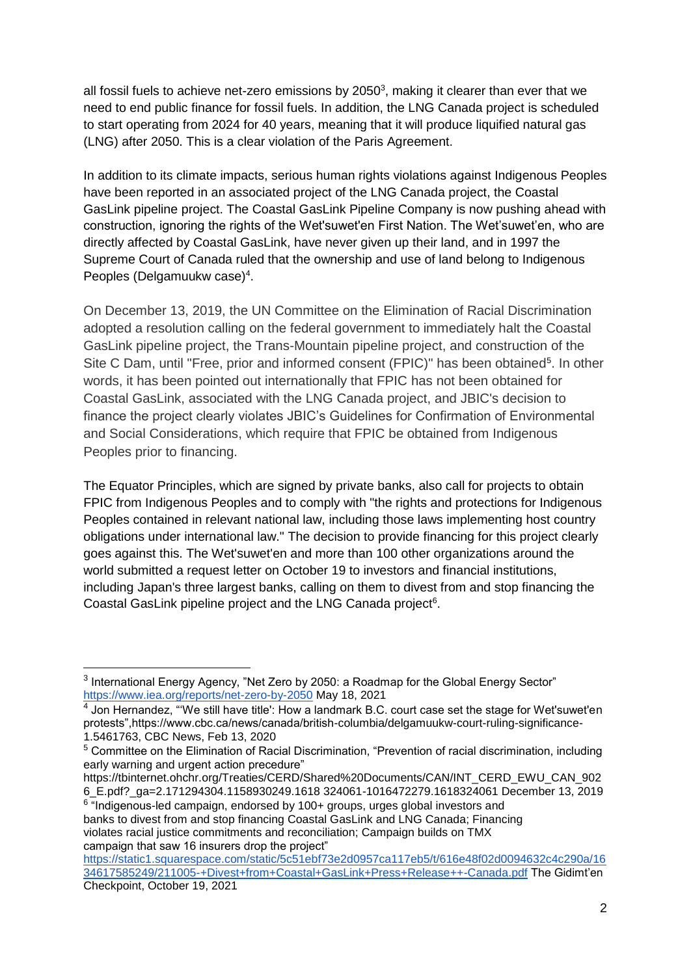all fossil fuels to achieve net-zero emissions by 2050 $3$ , making it clearer than ever that we need to end public finance for fossil fuels. In addition, the LNG Canada project is scheduled to start operating from 2024 for 40 years, meaning that it will produce liquified natural gas (LNG) after 2050. This is a clear violation of the Paris Agreement.

In addition to its climate impacts, serious human rights violations against Indigenous Peoples have been reported in an associated project of the LNG Canada project, the Coastal GasLink pipeline project. The Coastal GasLink Pipeline Company is now pushing ahead with construction, ignoring the rights of the Wet'suwet'en First Nation. The Wet'suwet'en, who are directly affected by Coastal GasLink, have never given up their land, and in 1997 the Supreme Court of Canada ruled that the ownership and use of land belong to Indigenous Peoples (Delgamuukw case)<sup>4</sup>.

On December 13, 2019, the UN Committee on the Elimination of Racial Discrimination adopted a resolution calling on the federal government to immediately halt the Coastal GasLink pipeline project, the Trans-Mountain pipeline project, and construction of the Site C Dam, until "Free, prior and informed consent (FPIC)" has been obtained<sup>5</sup>. In other words, it has been pointed out internationally that FPIC has not been obtained for Coastal GasLink, associated with the LNG Canada project, and JBIC's decision to finance the project clearly violates JBIC's Guidelines for Confirmation of Environmental and Social Considerations, which require that FPIC be obtained from Indigenous Peoples prior to financing.

The Equator Principles, which are signed by private banks, also call for projects to obtain FPIC from Indigenous Peoples and to comply with "the rights and protections for Indigenous Peoples contained in relevant national law, including those laws implementing host country obligations under international law." The decision to provide financing for this project clearly goes against this. The Wet'suwet'en and more than 100 other organizations around the world submitted a request letter on October 19 to investors and financial institutions, including Japan's three largest banks, calling on them to divest from and stop financing the Coastal GasLink pipeline project and the LNG Canada project<sup>6</sup>.

-

 $6$  "Indigenous-led campaign, endorsed by 100+ groups, urges global investors and banks to divest from and stop financing Coastal GasLink and LNG Canada; Financing violates racial justice commitments and reconciliation; Campaign builds on TMX campaign that saw 16 insurers drop the project"

 $3$  International Energy Agency, "Net Zero by 2050: a Roadmap for the Global Energy Sector" <https://www.iea.org/reports/net-zero-by-2050> May 18, 2021

 $^4$  Jon Hernandez, "'We still have title': How a landmark B.C. court case set the stage for Wet'suwet'en protests",https://www.cbc.ca/news/canada/british-columbia/delgamuukw-court-ruling-significance-1.5461763, CBC News, Feb 13, 2020

<sup>&</sup>lt;sup>5</sup> Committee on the Elimination of Racial Discrimination, "Prevention of racial discrimination, including early warning and urgent action precedure"

https://tbinternet.ohchr.org/Treaties/CERD/Shared%20Documents/CAN/INT\_CERD\_EWU\_CAN\_902 6\_E.pdf?\_ga=2.171294304.1158930249.1618 324061-1016472279.1618324061 December 13, 2019

[https://static1.squarespace.com/static/5c51ebf73e2d0957ca117eb5/t/616e48f02d0094632c4c290a/16](https://static1.squarespace.com/static/5c51ebf73e2d0957ca117eb5/t/616e48f02d0094632c4c290a/1634617585249/211005-+Divest+from+Coastal+GasLink+Press+Release++-Canada.pdf) [34617585249/211005-+Divest+from+Coastal+GasLink+Press+Release++-Canada.pdf](https://static1.squarespace.com/static/5c51ebf73e2d0957ca117eb5/t/616e48f02d0094632c4c290a/1634617585249/211005-+Divest+from+Coastal+GasLink+Press+Release++-Canada.pdf) The Gidimt'en Checkpoint, October 19, 2021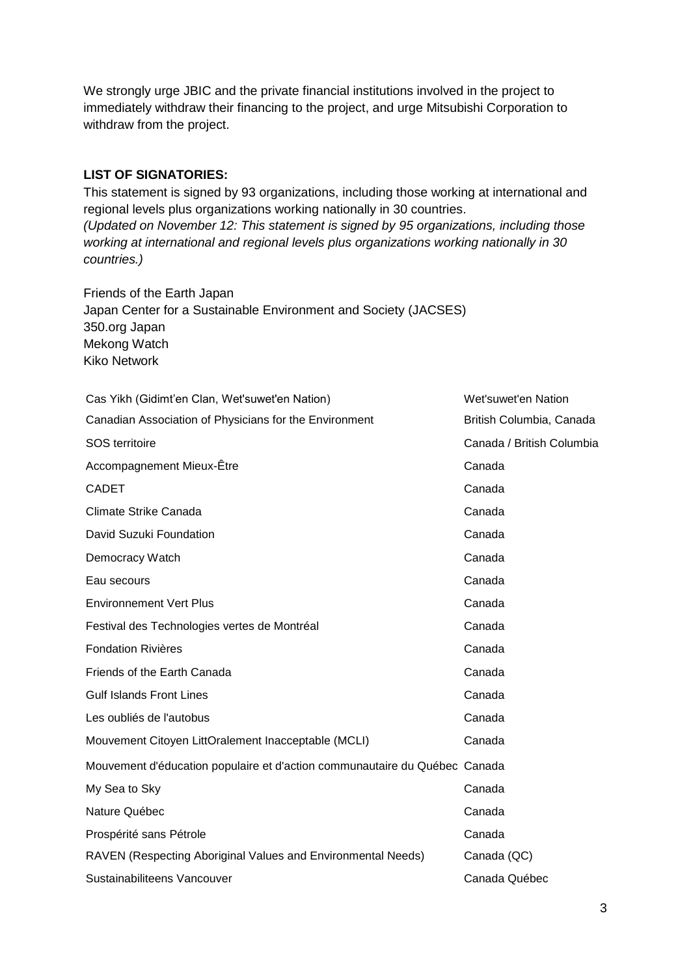We strongly urge JBIC and the private financial institutions involved in the project to immediately withdraw their financing to the project, and urge Mitsubishi Corporation to withdraw from the project.

## **LIST OF SIGNATORIES:**

This statement is signed by 93 organizations, including those working at international and regional levels plus organizations working nationally in 30 countries. *(Updated on November 12: This statement is signed by 95 organizations, including those working at international and regional levels plus organizations working nationally in 30 countries.)*

Friends of the Earth Japan Japan Center for a Sustainable Environment and Society (JACSES) 350.org Japan Mekong Watch Kiko Network

| Cas Yikh (Gidimt'en Clan, Wet'suwet'en Nation)                             | Wet'suwet'en Nation       |
|----------------------------------------------------------------------------|---------------------------|
| Canadian Association of Physicians for the Environment                     | British Columbia, Canada  |
| SOS territoire                                                             | Canada / British Columbia |
| Accompagnement Mieux-Être                                                  | Canada                    |
| <b>CADET</b>                                                               | Canada                    |
| Climate Strike Canada                                                      | Canada                    |
| David Suzuki Foundation                                                    | Canada                    |
| Democracy Watch                                                            | Canada                    |
| Eau secours                                                                | Canada                    |
| <b>Environnement Vert Plus</b>                                             | Canada                    |
| Festival des Technologies vertes de Montréal                               | Canada                    |
| <b>Fondation Rivières</b>                                                  | Canada                    |
| Friends of the Earth Canada                                                | Canada                    |
| <b>Gulf Islands Front Lines</b>                                            | Canada                    |
| Les oubliés de l'autobus                                                   | Canada                    |
| Mouvement Citoyen LittOralement Inacceptable (MCLI)                        | Canada                    |
| Mouvement d'éducation populaire et d'action communautaire du Québec Canada |                           |
| My Sea to Sky                                                              | Canada                    |
| Nature Québec                                                              | Canada                    |
| Prospérité sans Pétrole                                                    | Canada                    |
| RAVEN (Respecting Aboriginal Values and Environmental Needs)               | Canada (QC)               |
| Sustainabiliteens Vancouver                                                | Canada Québec             |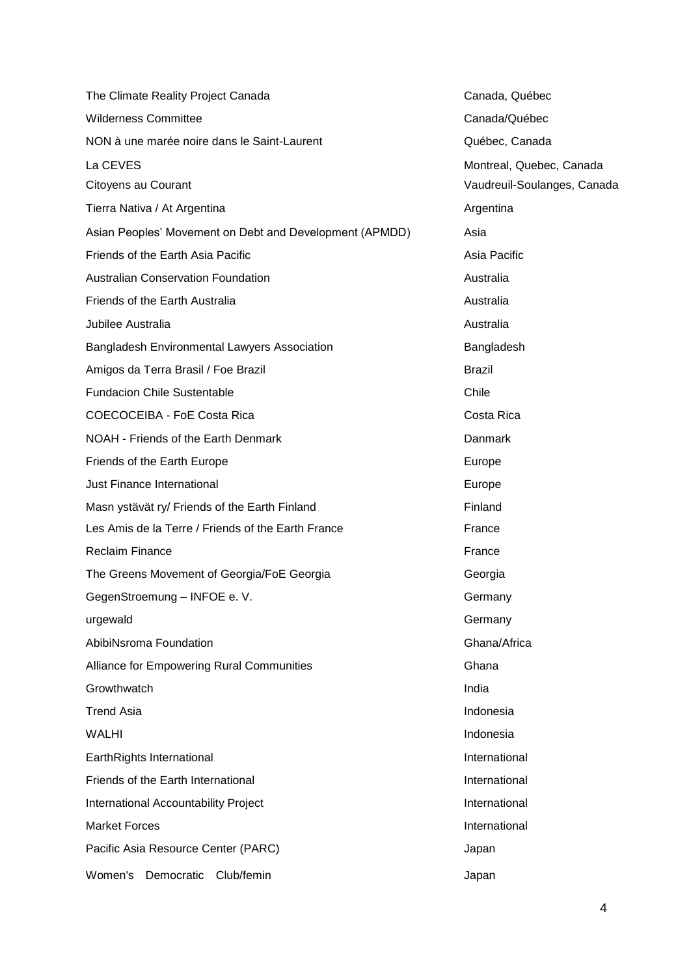| The Climate Reality Project Canada                      | Canada,         |
|---------------------------------------------------------|-----------------|
| <b>Wilderness Committee</b>                             | Canada/         |
| NON à une marée noire dans le Saint-Laurent             | Québec,         |
| La CEVES                                                | <b>Montreal</b> |
| Citoyens au Courant                                     | Vaudreui        |
| Tierra Nativa / At Argentina                            | Argentina       |
| Asian Peoples' Movement on Debt and Development (APMDD) | Asia            |
| Friends of the Earth Asia Pacific                       | Asia Pac        |
| <b>Australian Conservation Foundation</b>               | Australia       |
| Friends of the Earth Australia                          | Australia       |
| Jubilee Australia                                       | Australia       |
| <b>Bangladesh Environmental Lawyers Association</b>     | Banglade        |
| Amigos da Terra Brasil / Foe Brazil                     | <b>Brazil</b>   |
| <b>Fundacion Chile Sustentable</b>                      | Chile           |
| COECOCEIBA - FoE Costa Rica                             | Costa Rio       |
| NOAH - Friends of the Earth Denmark                     | Danmark         |
| Friends of the Earth Europe                             | Europe          |
| <b>Just Finance International</b>                       | Europe          |
| Masn ystävät ry/ Friends of the Earth Finland           | Finland         |
| Les Amis de la Terre / Friends of the Earth France      | France          |
| <b>Reclaim Finance</b>                                  | France          |
| The Greens Movement of Georgia/FoE Georgia              | Georgia         |
| GegenStroemung - INFOE e. V.                            | Germany         |
| urgewald                                                | Germany         |
| AbibiNsroma Foundation                                  | Ghana/A         |
| <b>Alliance for Empowering Rural Communities</b>        | Ghana           |
| Growthwatch                                             | India           |
| <b>Trend Asia</b>                                       | Indonesia       |
| <b>WALHI</b>                                            | Indonesia       |
| EarthRights International                               | Internatio      |
| Friends of the Earth International                      | Internatio      |
| International Accountability Project                    | Internatio      |
| <b>Market Forces</b>                                    | Internatio      |
| Pacific Asia Resource Center (PARC)                     | Japan           |
| Women's<br>Democratic<br>Club/femin                     | Japan           |

Canada, Québec Canada/Québec Québec, Canada Montreal, Quebec, Canada Vaudreuil-Soulanges, Canada **Argentina** Asia Pacific Australia Bangladesh Costa Rica Georgia Germany Germany Ghana/Africa Indonesia Indonesia **International International** International International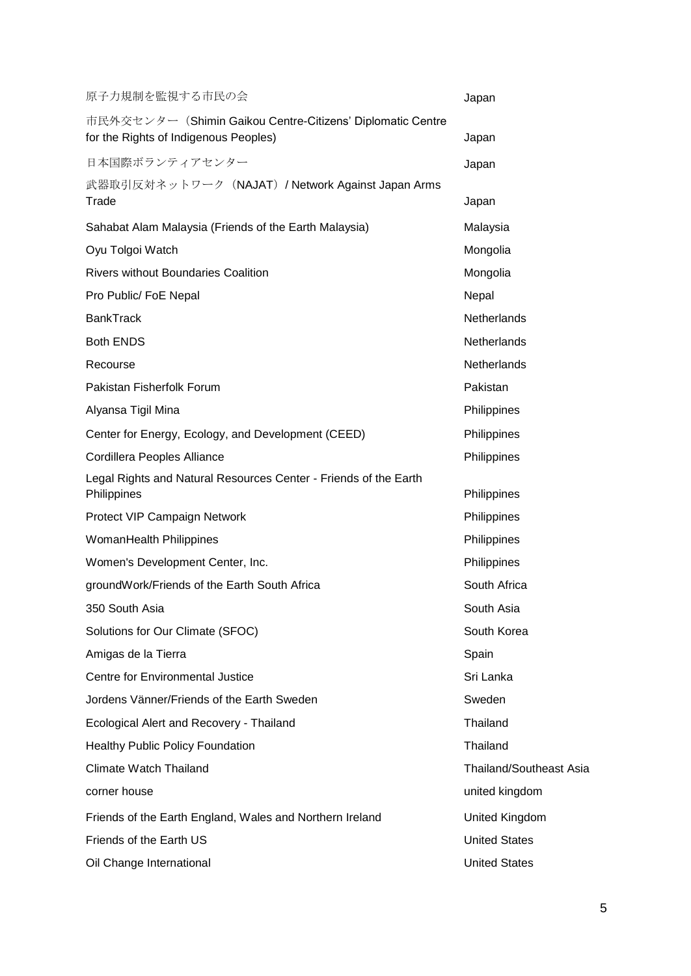| 原子力規制を監視する市民の会                                                                                      | Japan                          |
|-----------------------------------------------------------------------------------------------------|--------------------------------|
| 市民外交センター (Shimin Gaikou Centre-Citizens' Diplomatic Centre<br>for the Rights of Indigenous Peoples) | Japan                          |
| 日本国際ボランティアセンター                                                                                      | Japan                          |
| 武器取引反対ネットワーク (NAJAT) / Network Against Japan Arms<br>Trade                                          | Japan                          |
| Sahabat Alam Malaysia (Friends of the Earth Malaysia)                                               | Malaysia                       |
| Oyu Tolgoi Watch                                                                                    | Mongolia                       |
| <b>Rivers without Boundaries Coalition</b>                                                          | Mongolia                       |
| Pro Public/ FoE Nepal                                                                               | Nepal                          |
| <b>BankTrack</b>                                                                                    | Netherlands                    |
| <b>Both ENDS</b>                                                                                    | Netherlands                    |
| Recourse                                                                                            | Netherlands                    |
| Pakistan Fisherfolk Forum                                                                           | Pakistan                       |
| Alyansa Tigil Mina                                                                                  | Philippines                    |
| Center for Energy, Ecology, and Development (CEED)                                                  | Philippines                    |
| Cordillera Peoples Alliance                                                                         | Philippines                    |
| Legal Rights and Natural Resources Center - Friends of the Earth<br>Philippines                     | Philippines                    |
| Protect VIP Campaign Network                                                                        | Philippines                    |
| <b>WomanHealth Philippines</b>                                                                      | Philippines                    |
| Women's Development Center, Inc.                                                                    | Philippines                    |
| groundWork/Friends of the Earth South Africa                                                        | South Africa                   |
| 350 South Asia                                                                                      | South Asia                     |
| Solutions for Our Climate (SFOC)                                                                    | South Korea                    |
| Amigas de la Tierra                                                                                 | Spain                          |
| Centre for Environmental Justice                                                                    | Sri Lanka                      |
| Jordens Vänner/Friends of the Earth Sweden                                                          | Sweden                         |
| Ecological Alert and Recovery - Thailand                                                            | Thailand                       |
| <b>Healthy Public Policy Foundation</b>                                                             | Thailand                       |
| Climate Watch Thailand                                                                              | <b>Thailand/Southeast Asia</b> |
| corner house                                                                                        | united kingdom                 |
| Friends of the Earth England, Wales and Northern Ireland                                            | United Kingdom                 |
| Friends of the Earth US                                                                             | <b>United States</b>           |
| Oil Change International                                                                            | <b>United States</b>           |